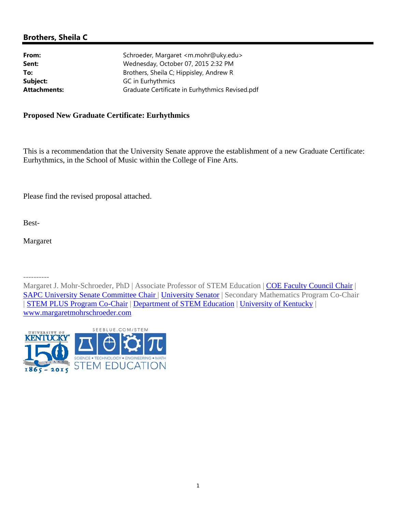# **Brothers, Sheila C**

| From:               | Schroeder, Margaret <m.mohr@uky.edu></m.mohr@uky.edu> |
|---------------------|-------------------------------------------------------|
| Sent:               | Wednesday, October 07, 2015 2:32 PM                   |
| To:                 | Brothers, Sheila C; Hippisley, Andrew R               |
| Subject:            | GC in Eurhythmics                                     |
| <b>Attachments:</b> | Graduate Certificate in Eurhythmics Revised.pdf       |
|                     |                                                       |

## **Proposed New Graduate Certificate: Eurhythmics**

This is a recommendation that the University Senate approve the establishment of a new Graduate Certificate: Eurhythmics, in the School of Music within the College of Fine Arts.

Please find the revised proposal attached.

Best-

Margaret

----------

Margaret J. Mohr-Schroeder, PhD | Associate Professor of STEM Education | COE Faculty Council Chair | SAPC University Senate Committee Chair | University Senator | Secondary Mathematics Program Co-Chair | STEM PLUS Program Co-Chair | Department of STEM Education | University of Kentucky | www.margaretmohrschroeder.com

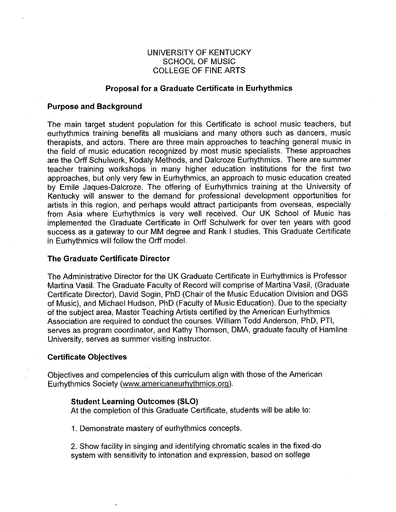# UNIVERSITY OF KENTUCKY **SCHOOL OF MUSIC COLLEGE OF FINE ARTS**

### **Proposal for a Graduate Certificate in Eurhythmics**

### **Purpose and Background**

The main target student population for this Certificate is school music teachers, but eurhythmics training benefits all musicians and many others such as dancers, music therapists, and actors. There are three main approaches to teaching general music in the field of music education recognized by most music specialists. These approaches are the Orff Schulwerk, Kodaly Methods, and Dalcroze Eurhythmics. There are summer teacher training workshops in many higher education institutions for the first two approaches, but only very few in Eurhythmics, an approach to music education created by Emile Jaques-Dalcroze. The offering of Eurhythmics training at the University of Kentucky will answer to the demand for professional development opportunities for artists in this region, and perhaps would attract participants from overseas, especially from Asia where Eurhythmics is very well received. Our UK School of Music has implemented the Graduate Certificate in Orff Schulwerk for over ten years with good success as a gateway to our MM degree and Rank I studies. This Graduate Certificate in Eurhythmics will follow the Orff model.

### The Graduate Certificate Director

The Administrative Director for the UK Graduate Certificate in Eurhythmics is Professor Martina Vasil. The Graduate Faculty of Record will comprise of Martina Vasil, (Graduate Certificate Director), David Sogin, PhD (Chair of the Music Education Division and DGS of Music), and Michael Hudson, PhD (Faculty of Music Education). Due to the specialty of the subject area, Master Teaching Artists certified by the American Eurhythmics Association are required to conduct the courses. William Todd Anderson, PhD, PTI, serves as program coordinator, and Kathy Thomsen, DMA, graduate faculty of Hamline University, serves as summer visiting instructor.

### **Certificate Objectives**

Objectives and competencies of this curriculum align with those of the American Eurhythmics Society (www.americaneurhythmics.org).

## **Student Learning Outcomes (SLO)**

At the completion of this Graduate Certificate, students will be able to:

1. Demonstrate mastery of eurhythmics concepts.

2. Show facility in singing and identifying chromatic scales in the fixed-do system with sensitivity to intonation and expression, based on solfege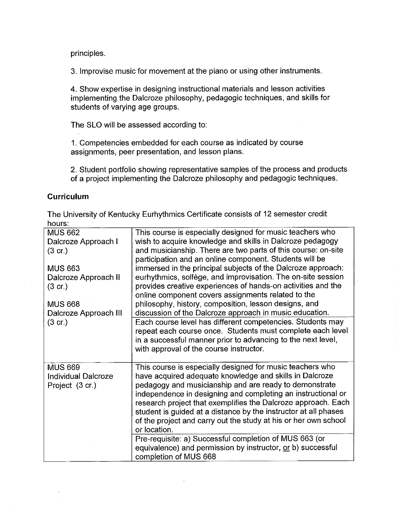principles.

3. Improvise music for movement at the piano or using other instruments.

4. Show expertise in designing instructional materials and lesson activities implementing the Dalcroze philosophy, pedagogic techniques, and skills for students of varying age groups.

The SLO will be assessed according to:

1. Competencies embedded for each course as indicated by course assignments, peer presentation, and lesson plans.

2. Student portfolio showing representative samples of the process and products of a project implementing the Dalcroze philosophy and pedagogic techniques.

# **Curriculum**

The University of Kentucky Eurhythmics Certificate consists of 12 semester credit hours:

| <b>MUS 662</b><br>Dalcroze Approach I                           | This course is especially designed for music teachers who<br>wish to acquire knowledge and skills in Dalcroze pedagogy                                                                                                                                                                                                                                                                                                                                                |
|-----------------------------------------------------------------|-----------------------------------------------------------------------------------------------------------------------------------------------------------------------------------------------------------------------------------------------------------------------------------------------------------------------------------------------------------------------------------------------------------------------------------------------------------------------|
| (3 cr)                                                          | and musicianship. There are two parts of this course: on-site<br>participation and an online component. Students will be                                                                                                                                                                                                                                                                                                                                              |
| <b>MUS 663</b><br>Dalcroze Approach II                          | immersed in the principal subjects of the Dalcroze approach:<br>eurhythmics, solfège, and improvisation. The on-site session                                                                                                                                                                                                                                                                                                                                          |
| $(3 \text{ cr})$                                                | provides creative experiences of hands-on activities and the<br>online component covers assignments related to the                                                                                                                                                                                                                                                                                                                                                    |
| <b>MUS 668</b><br>Dalcroze Approach III                         | philosophy, history, composition, lesson designs, and<br>discussion of the Dalcroze approach in music education.                                                                                                                                                                                                                                                                                                                                                      |
| $(3 \text{ cr})$                                                | Each course level has different competencies. Students may<br>repeat each course once. Students must complete each level<br>in a successful manner prior to advancing to the next level,<br>with approval of the course instructor.                                                                                                                                                                                                                                   |
| <b>MUS 669</b><br><b>Individual Dalcroze</b><br>Project (3 cr.) | This course is especially designed for music teachers who<br>have acquired adequate knowledge and skills in Dalcroze<br>pedagogy and musicianship and are ready to demonstrate<br>independence in designing and completing an instructional or<br>research project that exemplifies the Dalcroze approach. Each<br>student is guided at a distance by the instructor at all phases<br>of the project and carry out the study at his or her own school<br>or location. |
|                                                                 | Pre-requisite: a) Successful completion of MUS 663 (or<br>equivalence) and permission by instructor, or b) successful<br>completion of MUS 668                                                                                                                                                                                                                                                                                                                        |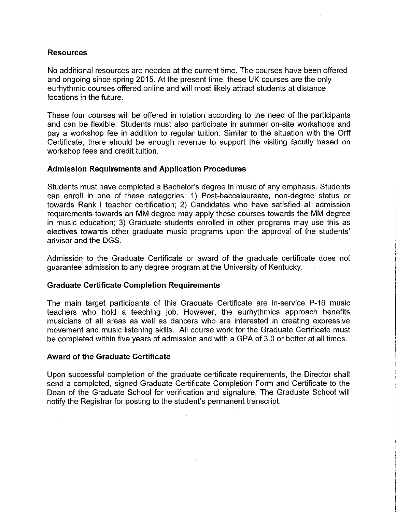### **Resources**

No additional resources are needed at the current time. The courses have been offered and ongoing since spring 2015. At the present time, these UK courses are the only eurhythmic courses offered online and will most likely attract students at distance locations in the future.

These four courses will be offered in rotation according to the need of the participants and can be flexible. Students must also participate in summer on-site workshops and pay a workshop fee in addition to regular tuition. Similar to the situation with the Orff Certificate, there should be enough revenue to support the visiting faculty based on workshop fees and credit tuition.

### **Admission Requirements and Application Procedures**

Students must have completed a Bachelor's degree in music of any emphasis. Students can enroll in one of these categories: 1) Post-baccalaureate, non-degree status or towards Rank I teacher certification; 2) Candidates who have satisfied all admission requirements towards an MM degree may apply these courses towards the MM degree in music education; 3) Graduate students enrolled in other programs may use this as electives towards other graduate music programs upon the approval of the students' advisor and the DGS.

Admission to the Graduate Certificate or award of the graduate certificate does not guarantee admission to any degree program at the University of Kentucky.

### **Graduate Certificate Completion Requirements**

The main target participants of this Graduate Certificate are in-service P-16 music teachers who hold a teaching job. However, the eurhythmics approach benefits musicians of all areas as well as dancers who are interested in creating expressive movement and music listening skills. All course work for the Graduate Certificate must be completed within five years of admission and with a GPA of 3.0 or better at all times.

### **Award of the Graduate Certificate**

Upon successful completion of the graduate certificate requirements, the Director shall send a completed, signed Graduate Certificate Completion Form and Certificate to the Dean of the Graduate School for verification and signature. The Graduate School will notify the Registrar for posting to the student's permanent transcript.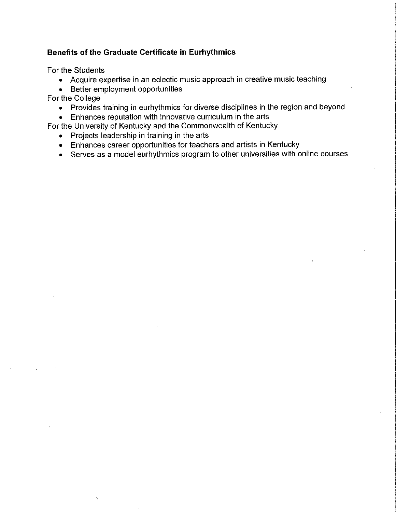# Benefits of the Graduate Certificate in Eurhythmics

For the Students

- Acquire expertise in an eclectic music approach in creative music teaching
- Better employment opportunities

For the College

• Provides training in eurhythmics for diverse disciplines in the region and beyond

• Enhances reputation with innovative curriculum in the arts

- For the University of Kentucky and the Commonwealth of Kentucky
	- Projects leadership in training in the arts
	- Enhances career opportunities for teachers and artists in Kentucky
	- Serves as a model eurhythmics program to other universities with online courses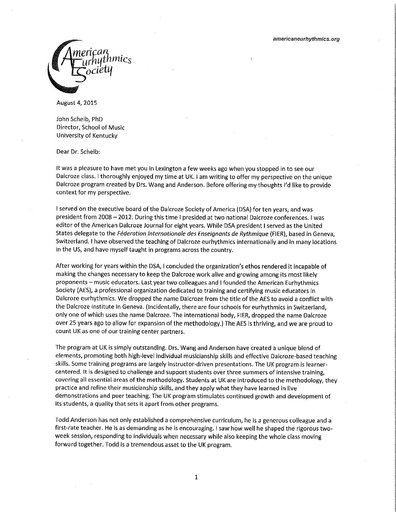

August 4, 2015

John Scheib, PhD Director, School of Music University of Kentucky

Dear Dr. Scheib:

It was a pleasure to have met you in Lexington a few weeks ago when you stopped in to see our Dalcroze class. I thoroughly enjoyed my time at UK. I am writing to offer my perspective on the unique Dalcroze program created by Drs. Wang and Anderson. Before offering my thoughts I'd like to provide context for my perspective.

I served on the executive board of the Dalcroze Society of America (DSA) for ten years, and was president from 2008 - 2012. During this time I presided at two national Dalcroze conferences. I was editor of the American Dalcroze Journal for eight years. While DSA president I served as the United States delegate to the Féderation Internationale des Enseignants de Rythmique (FIER), based in Geneva, Switzerland. I have observed the teaching of Dalcroze eurhythmics internationally and in many locations in the US, and have myself taught in programs across the country.

After working for years within the DSA, I concluded the organization's ethos rendered it incapable of making the changes necessary to keep the Dalcroze work alive and growing among its most likely proponents - music educators. Last year two colleagues and I founded the American Eurhythmics Society (AES), a professional organization dedicated to training and certifying music educators in Dalcroze eurhythmics. We dropped the name Dalcroze from the title of the AES to avoid a conflict with the Dalcroze Institute in Geneva. (Incidentally, there are four schools for eurhythmics in Switzerland, only one of which uses the name Dalcroze. The international body, FIER, dropped the name Dalcroze over 25 years ago to allow for expansion of the methodology.) The AES is thriving, and we are proud to count UK as one of our training center partners.

The program at UK is simply outstanding. Drs. Wang and Anderson have created a unique blend of elements, promoting both high-level individual musicianship skills and effective Dalcroze-based teaching skills. Some training programs are largely instructor-driven presentations. The UK program is learnercentered. It is designed to challenge and support students over three summers of intensive training, covering all essential areas of the methodology. Students at UK are introduced to the methodology, they practice and refine their musicianship skills, and they apply what they have learned in live demonstrations and peer teaching. The UK program stimulates continued growth and development of its students, a quality that sets it apart from other programs.

Todd Anderson has not only established a comprehensive curriculum, he is a generous colleague and a first-rate teacher. He is as demanding as he is encouraging. I saw how well he shaped the rigorous twoweek session, responding to individuals when necessary while also keeping the whole class moving forward together. Todd is a tremendous asset to the UK program.

 $\mathbf{1}$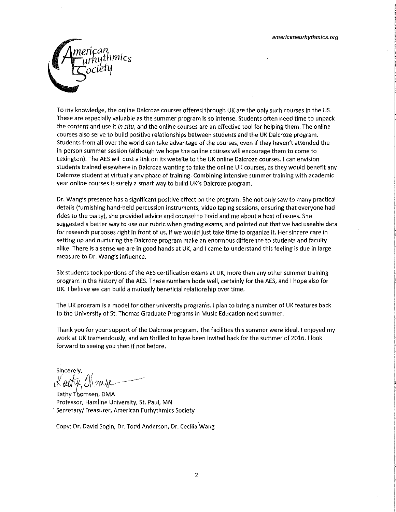

To my knowledge, the online Dalcroze courses offered through UK are the only such courses in the US. These are especially valuable as the summer program is so intense. Students often need time to unpack the content and use it in situ, and the online courses are an effective tool for helping them. The online courses also serve to build positive relationships between students and the UK Dalcroze program. Students from all over the world can take advantage of the courses, even if they haven't attended the in-person summer session (although we hope the online courses will encourage them to come to Lexington). The AES will post a link on its website to the UK online Dalcroze courses. I can envision students trained elsewhere in Dalcroze wanting to take the online UK courses, as they would benefit any Dalcroze student at virtually any phase of training. Combining intensive summer training with academic year online courses is surely a smart way to build UK's Dalcroze program.

Dr. Wang's presence has a significant positive effect on the program. She not only saw to many practical details (furnishing hand-held percussion instruments, video taping sessions, ensuring that everyone had rides to the party), she provided advice and counsel to Todd and me about a host of issues. She suggested a better way to use our rubric when grading exams, and pointed out that we had useable data for research purposes right in front of us, if we would just take time to organize it. Her sincere care in setting up and nurturing the Dalcroze program make an enormous difference to students and faculty alike. There is a sense we are in good hands at UK, and I came to understand this feeling is due in large measure to Dr. Wang's influence.

Six students took portions of the AES certification exams at UK, more than any other summer training program in the history of the AES. These numbers bode well, certainly for the AES, and I hope also for UK. I believe we can build a mutually beneficial relationship over time.

The UK program is a model for other university programs. I plan to bring a number of UK features back to the University of St. Thomas Graduate Programs in Music Education next summer.

Thank you for your support of the Dalcroze program. The facilities this summer were ideal. I enjoyed my work at UK tremendously, and am thrilled to have been invited back for the summer of 2016. I look forward to seeing you then if not before.

Sincerely,

Kathy Thomsen, DMA Professor, Hamline University, St. Paul, MN Secretary/Treasurer, American Eurhythmics Society

Copy: Dr. David Sogin, Dr. Todd Anderson, Dr. Cecilia Wang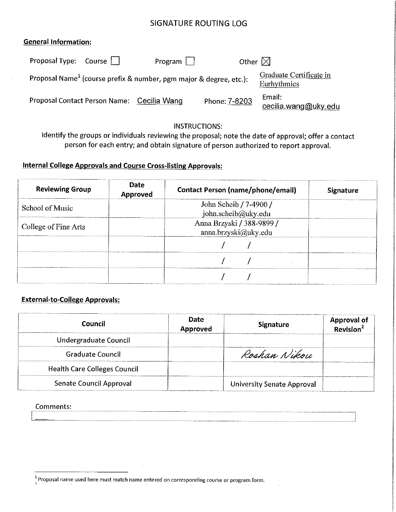# **SIGNATURE ROUTING LOG**

## **General Information:**

| Proposal Type: Course                      | Program                                                                        | Other $\boxtimes$ |                                        |
|--------------------------------------------|--------------------------------------------------------------------------------|-------------------|----------------------------------------|
|                                            | Proposal Name <sup>1</sup> (course prefix & number, pgm major & degree, etc.): |                   | Graduate Certificate in<br>Eurhythmics |
| Proposal Contact Person Name: Cecilia Wang |                                                                                | Phone: 7-8203     | Email:<br>cecilia.wang@uky.edu         |

# **INSTRUCTIONS:**

Identify the groups or individuals reviewing the proposal; note the date of approval; offer a contact person for each entry; and obtain signature of person authorized to report approval.

# **Internal College Approvals and Course Cross-listing Approvals:**

| <b>Reviewing Group</b> | Date<br>Approved | <b>Contact Person (name/phone/email)</b>          | <b>Signature</b> |
|------------------------|------------------|---------------------------------------------------|------------------|
| School of Music        |                  | John Scheib / 7-4900 /<br>john.scheib@uky.edu     |                  |
| College of Fine Arts   |                  | Anna Brzyski / 388-9899 /<br>anna brzyski@uky.edu |                  |
|                        |                  |                                                   |                  |
|                        |                  |                                                   |                  |
|                        |                  |                                                   |                  |

# **External-to-College Approvals:**

| Council                             | <b>Date</b><br><b>Approved</b> | <b>Signature</b>           | Approval of<br>Revision <sup>2</sup> |
|-------------------------------------|--------------------------------|----------------------------|--------------------------------------|
| Undergraduate Council               |                                |                            |                                      |
| <b>Graduate Council</b>             |                                | Roshan Nikou               |                                      |
| <b>Health Care Colleges Council</b> |                                |                            |                                      |
| Senate Council Approval             |                                | University Senate Approval |                                      |

### Comments:

<sup>&</sup>lt;sup>1</sup> Proposal name used here must match name entered on corresponding course or program form.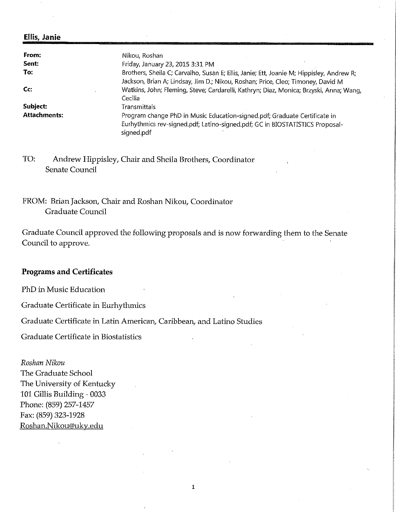#### **Ellis, Janie**

| From:               | Nikou, Roshan                                                                                                                                                               |
|---------------------|-----------------------------------------------------------------------------------------------------------------------------------------------------------------------------|
| Sent:               | Friday, January 23, 2015 3:31 PM                                                                                                                                            |
| To:                 | Brothers, Sheila C; Carvalho, Susan E; Ellis, Janie; Ett, Joanie M; Hippisley, Andrew R;<br>Jackson, Brian A; Lindsay, Jim D.; Nikou, Roshan; Price, Cleo; Timoney, David M |
| Cc:                 | Watkins, John; Fleming, Steve; Cardarelli, Kathryn; Diaz, Monica; Brzyski, Anna; Wang,<br>Cecilia                                                                           |
| Subject:            | Transmittals                                                                                                                                                                |
| <b>Attachments:</b> | Program change PhD in Music Education-signed.pdf; Graduate Certificate in<br>Eurhythmics rev-signed.pdf; Latino-signed.pdf; GC in BIOSTATISTICS Proposal-<br>signed.pdf     |

TO: Andrew Hippisley, Chair and Sheila Brothers, Coordinator Senate Council

FROM: Brian Jackson, Chair and Roshan Nikou, Coordinator Graduate Council

Graduate Council approved the following proposals and is now forwarding them to the Senate Council to approve.

# **Programs and Certificates**

PhD in Music Education

Graduate Certificate in Eurhythmics

Graduate Certificate in Latin American, Caribbean, and Latino Studies

Graduate Certificate in Biostatistics

Roshan Nikou The Graduate School The University of Kentucky 101 Gillis Building - 0033 Phone: (859) 257-1457 Fax: (859) 323-1928 Roshan.Nikou@uky.edu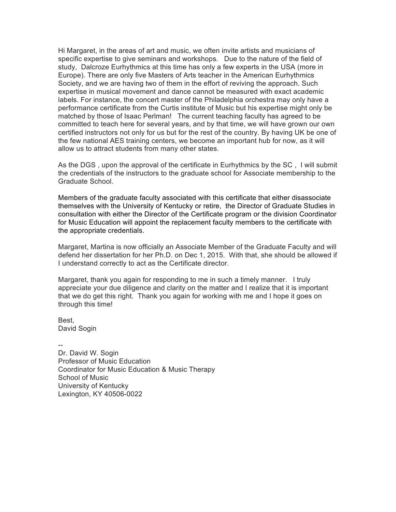Hi Margaret, in the areas of art and music, we often invite artists and musicians of specific expertise to give seminars and workshops. Due to the nature of the field of study, Dalcroze Eurhythmics at this time has only a few experts in the USA (more in Europe). There are only five Masters of Arts teacher in the American Eurhythmics Society, and we are having two of them in the effort of reviving the approach. Such expertise in musical movement and dance cannot be measured with exact academic labels. For instance, the concert master of the Philadelphia orchestra may only have a performance certificate from the Curtis institute of Music but his expertise might only be matched by those of Isaac Perlman! The current teaching faculty has agreed to be committed to teach here for several years, and by that time, we will have grown our own certified instructors not only for us but for the rest of the country. By having UK be one of the few national AES training centers, we become an important hub for now, as it will allow us to attract students from many other states.

As the DGS , upon the approval of the certificate in Eurhythmics by the SC , I will submit the credentials of the instructors to the graduate school for Associate membership to the Graduate School.

Members of the graduate faculty associated with this certificate that either disassociate themselves with the University of Kentucky or retire, the Director of Graduate Studies in consultation with either the Director of the Certificate program or the division Coordinator for Music Education will appoint the replacement faculty members to the certificate with the appropriate credentials.

Margaret, Martina is now officially an Associate Member of the Graduate Faculty and will defend her dissertation for her Ph.D. on Dec 1, 2015. With that, she should be allowed if I understand correctly to act as the Certificate director.

Margaret, thank you again for responding to me in such a timely manner. I truly appreciate your due diligence and clarity on the matter and I realize that it is important that we do get this right. Thank you again for working with me and I hope it goes on through this time!

Best, David Sogin

-- Dr. David W. Sogin Professor of Music Education Coordinator for Music Education & Music Therapy School of Music University of Kentucky Lexington, KY 40506-0022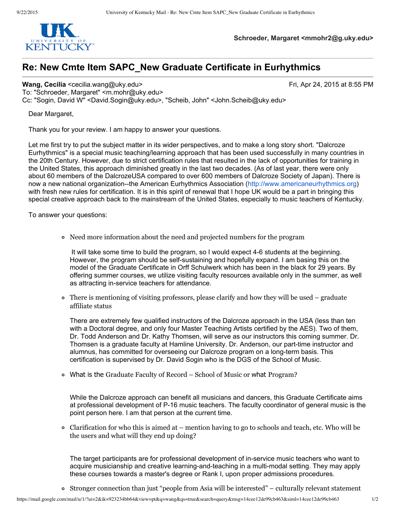

**Schroeder, Margaret <mmohr2@g.uky.edu>**

# **Re: New Cmte Item SAPC\_New Graduate Certificate in Eurhythmics**

**Wang, Cecilia** <cecilia.wang@uky.edu> Fri, Apr 24, 2015 at 8:55 PM

To: "Schroeder, Margaret" <m.mohr@uky.edu> Cc: "Sogin, David W" <David.Sogin@uky.edu>, "Scheib, John" <John.Scheib@uky.edu>

Dear Margaret,

Thank you for your review. I am happy to answer your questions.

Let me first try to put the subject matter in its wider perspectives, and to make a long story short. "Dalcroze Eurhythmics" is a special music teaching/learning approach that has been used successfully in many countries in the 20th Century. However, due to strict certification rules that resulted in the lack of opportunities for training in the United States, this approach diminished greatly in the last two decades. (As of last year, there were only about 60 members of the DalcrozeUSA compared to over 600 members of Dalcroze Society of Japan). There is now a new national organization--the American Eurhythmics Association (http://www.americaneurhythmics.org) with fresh new rules for certification. It is in this spirit of renewal that I hope UK would be a part in bringing this special creative approach back to the mainstream of the United States, especially to music teachers of Kentucky.

To answer your questions:

Need more information about the need and projected numbers for the program

It will take some time to build the program, so I would expect 46 students at the beginning. However, the program should be self-sustaining and hopefully expand. I am basing this on the model of the Graduate Certificate in Orff Schulwerk which has been in the black for 29 years. By offering summer courses, we utilize visiting faculty resources available only in the summer, as well as attracting in-service teachers for attendance.

There is mentioning of visiting professors, please clarify and how they will be used – graduate affiliate status

There are extremely few qualified instructors of the Dalcroze approach in the USA (less than ten with a Doctoral degree, and only four Master Teaching Artists certified by the AES). Two of them, Dr. Todd Anderson and Dr. Kathy Thomsen, will serve as our instructors this coming summer. Dr. Thomsen is a graduate faculty at Hamline University. Dr. Anderson, our part-time instructor and alumnus, has committed for overseeing our Dalcroze program on a long-term basis. This certification is supervised by Dr. David Sogin who is the DGS of the School of Music.

What is the Graduate Faculty of Record – School of Music or what Program?

While the Dalcroze approach can benefit all musicians and dancers, this Graduate Certificate aims at professional development of P-16 music teachers. The faculty coordinator of general music is the point person here. I am that person at the current time.

 $\circ$  Clarification for who this is aimed at – mention having to go to schools and teach, etc. Who will be the users and what will they end up doing?

The target participants are for professional development of in-service music teachers who want to acquire musicianship and creative learning-and-teaching in a multi-modal setting. They may apply these courses towards a master's degree or Rank I, upon proper admissions procedures.

Stronger connection than just "people from Asia will be interested" – culturally relevant statement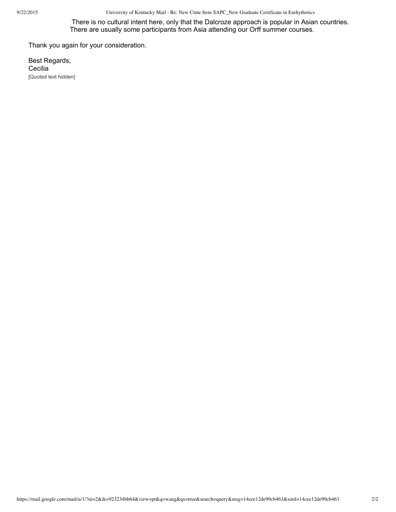9/22/2015 University of Kentucky Mail - Re: New Cmte Item SAPC\_New Graduate Certificate in Eurhythmics

There is no cultural intent here, only that the Dalcroze approach is popular in Asian countries. There are usually some participants from Asia attending our Orff summer courses.

Thank you again for your consideration.

Best Regards, **Cecilia** [Quoted text hidden]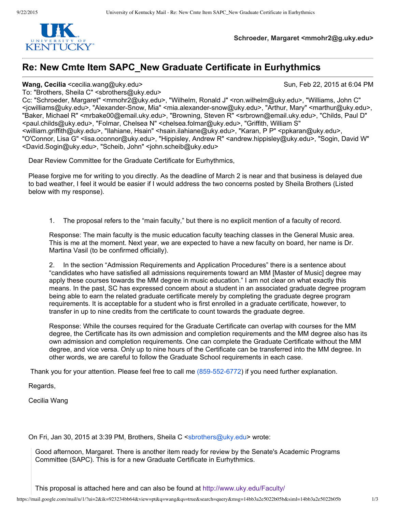

**Schroeder, Margaret <mmohr2@g.uky.edu>**

# **Re: New Cmte Item SAPC\_New Graduate Certificate in Eurhythmics**

#### **Wang, Cecilia** <cecilia.wang@uky.edu> Sun, Feb 22, 2015 at 6:04 PM

To: "Brothers, Sheila C" <sbrothers@uky.edu>

Cc: "Schroeder, Margaret" <mmohr2@uky.edu>, "Wilhelm, Ronald J" <ron.wilhelm@uky.edu>, "Williams, John C" <jcwilliams@uky.edu>, "AlexanderSnow, Mia" <mia.alexandersnow@uky.edu>, "Arthur, Mary" <marthur@uky.edu>, "Baker, Michael R" <mrbake00@email.uky.edu>, "Browning, Steven R" <srbrown@email.uky.edu>, "Childs, Paul D" <paul.childs@uky.edu>, "Folmar, Chelsea N" <chelsea.folmar@uky.edu>, "Griffith, William S" <william.griffith@uky.edu>, "Ilahiane, Hsain" <hsain.ilahiane@uky.edu>, "Karan, P P" <ppkaran@uky.edu>, "O'Connor, Lisa G" <lisa.oconnor@uky.edu>, "Hippisley, Andrew R" <andrew.hippisley@uky.edu>, "Sogin, David W" <David.Sogin@uky.edu>, "Scheib, John" <john.scheib@uky.edu>

Dear Review Committee for the Graduate Certificate for Eurhythmics,

Please forgive me for writing to you directly. As the deadline of March 2 is near and that business is delayed due to bad weather, I feel it would be easier if I would address the two concerns posted by Sheila Brothers (Listed below with my response).

1. The proposal refers to the "main faculty," but there is no explicit mention of a faculty of record.

Response: The main faculty is the music education faculty teaching classes in the General Music area. This is me at the moment. Next year, we are expected to have a new faculty on board, her name is Dr. Martina Vasil (to be confirmed officially).

2. In the section "Admission Requirements and Application Procedures" there is a sentence about "candidates who have satisfied all admissions requirements toward an MM [Master of Music] degree may apply these courses towards the MM degree in music education." I am not clear on what exactly this means. In the past, SC has expressed concern about a student in an associated graduate degree program being able to earn the related graduate certificate merely by completing the graduate degree program requirements. It is acceptable for a student who is first enrolled in a graduate certificate, however, to transfer in up to nine credits from the certificate to count towards the graduate degree.

Response: While the courses required for the Graduate Certificate can overlap with courses for the MM degree, the Certificate has its own admission and completion requirements and the MM degree also has its own admission and completion requirements. One can complete the Graduate Certificate without the MM degree, and vice versa. Only up to nine hours of the Certificate can be transferred into the MM degree. In other words, we are careful to follow the Graduate School requirements in each case.

Thank you for your attention. Please feel free to call me (859-552-6772) if you need further explanation.

Regards,

Cecilia Wang

On Fri, Jan 30, 2015 at 3:39 PM, Brothers, Sheila C <sbrothers@uky.edu> wrote:

Good afternoon, Margaret. There is another item ready for review by the Senate's Academic Programs Committee (SAPC). This is for a new Graduate Certificate in Eurhythmics.

This proposal is attached here and can also be found at http://www.uky.edu/Faculty/